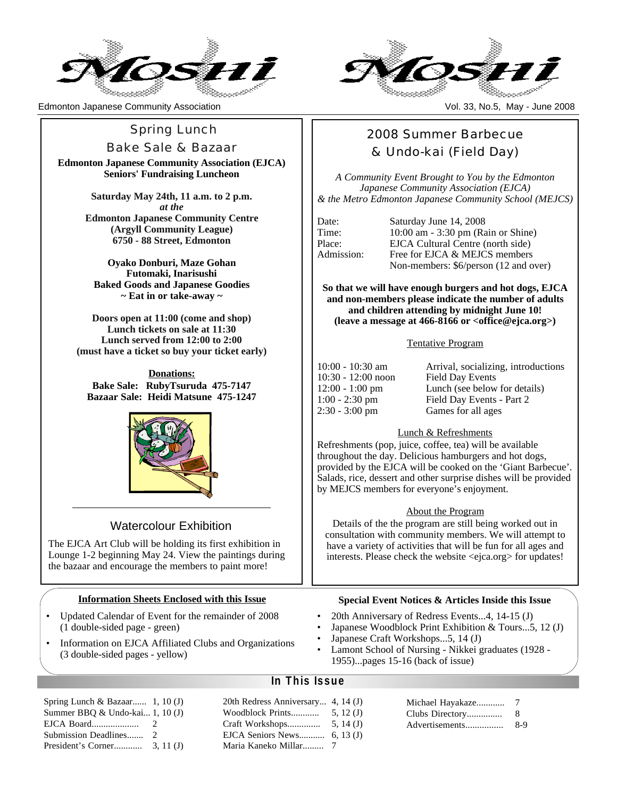

Edmonton Japanese Community Association Vol. 33, No.5, May - June 2008

# **Spring Lunch**

Bake Sale & Bazaar

**Edmonton Japanese Community Association (EJCA) Seniors' Fundraising Luncheon**

> **Saturday May 24th, 11 a.m. to 2 p.m.** *at the* **Edmonton Japanese Community Centre (Argyll Community League) 6750 - 88 Street, Edmonton**

**Oyako Donburi, Maze Gohan Futomaki, Inarisushi Baked Goods and Japanese Goodies ~ Eat in or take-away ~**

**Doors open at 11:00 (come and shop) Lunch tickets on sale at 11:30 Lunch served from 12:00 to 2:00 (must have a ticket so buy your ticket early)**

**Donations: Bake Sale: RubyTsuruda 475-7147 Bazaar Sale: Heidi Matsune 475-1247**



# Watercolour Exhibition

The EJCA Art Club will be holding its first exhibition in Lounge 1-2 beginning May 24. View the paintings during the bazaar and encourage the members to paint more!

#### **Information Sheets Enclosed with this Issue**

- Updated Calendar of Event for the remainder of 2008 (1 double-sided page - green)
- Information on EJCA Affiliated Clubs and Organizations (3 double-sided pages - yellow)

| Spring Lunch & Bazaar 1, 10 (J) |               |  |
|---------------------------------|---------------|--|
| Summer BBQ & Undo-kai 1, 10 (J) |               |  |
| EJCA Board                      | $\mathcal{L}$ |  |
| Submission Deadlines 2          |               |  |
|                                 |               |  |



# 2008 Summer Barbecue & Undo-kai (Field Day)

*A Community Event Brought to You by the Edmonton Japanese Community Association (EJCA) & the Metro Edmonton Japanese Community School (MEJCS)*

Date: Saturday June 14, 2008 Time: 10:00 am - 3:30 pm (Rain or Shine) Place: EJCA Cultural Centre (north side) Admission: Free for EJCA & MEJCS members Non-members: \$6/person (12 and over)

**So that we will have enough burgers and hot dogs, EJCA and non-members please indicate the number of adults and children attending by midnight June 10! (leave a message at 466-8166 or <office@ejca.org>)**

#### Tentative Program

10:00 - 10:30 am Arrival, socializing, introductions 10:30 - 12:00 noon Field Day Events 12:00 - 1:00 pm Lunch (see below for details) 1:00 - 2:30 pm Field Day Events - Part 2 2:30 - 3:00 pm Games for all ages

#### Lunch & Refreshments

Refreshments (pop, juice, coffee, tea) will be available throughout the day. Delicious hamburgers and hot dogs, provided by the EJCA will be cooked on the 'Giant Barbecue'. Salads, rice, dessert and other surprise dishes will be provided by MEJCS members for everyone's enjoyment.

#### About the Program

Details of the the program are still being worked out in consultation with community members. We will attempt to have a variety of activities that will be fun for all ages and interests. Please check the website <ejca.org> for updates!

#### **Special Event Notices & Articles Inside this Issue**

• 20th Anniversary of Redress Events...4, 14-15 (J)

- Japanese Woodblock Print Exhibition & Tours...5, 12 (J)
- Japanese Craft Workshops...5, 14 (J)
- Lamont School of Nursing Nikkei graduates (1928 1955)...pages 15-16 (back of issue)

#### **In This Issue**

| 20th Redress Anniversary 4, 14 (J) |             |
|------------------------------------|-------------|
| Woodblock Prints                   | 5, $12(J)$  |
| Craft Workshops                    | 5, $14(J)$  |
| EJCA Seniors News                  | 6, 13 $(J)$ |
|                                    |             |

| Michael Hayakaze |     |
|------------------|-----|
| Clubs Directory  | 8   |
| Advertisements   | 8-9 |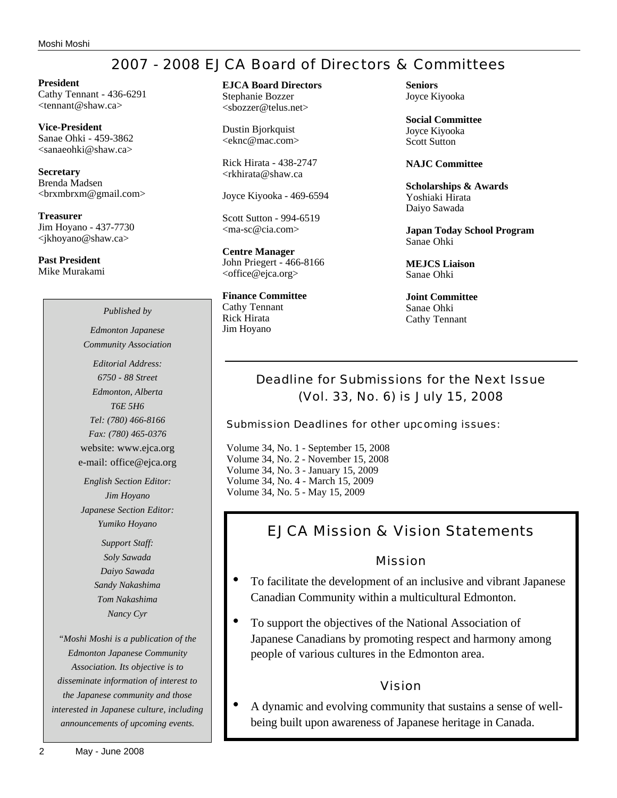# 2007 - 2008 EJCA Board of Directors & Committees

**President** Cathy Tennant - 436-6291 <tennant@shaw.ca>

**Vice-President** Sanae Ohki - 459-3862 <sanaeohki@shaw.ca>

**Secretary** Brenda Madsen <brxmbrxm@gmail.com>

**Treasurer** Jim Hoyano - 437-7730 <jkhoyano@shaw.ca>

**Past President** Mike Murakami **EJCA Board Directors** Stephanie Bozzer

<sbozzer@telus.net>

Dustin Bjorkquist <eknc@mac.com>

Rick Hirata - 438-2747 <rkhirata@shaw.ca

Joyce Kiyooka - 469-6594

Scott Sutton - 994-6519 <ma-sc@cia.com>

**Centre Manager** John Priegert - 466-8166 <office@ejca.org>

**Finance Committee** Cathy Tennant Rick Hirata Jim Hoyano

**Seniors** Joyce Kiyooka

**Social Committee** Joyce Kiyooka Scott Sutton

**NAJC Committee**

**Scholarships & Awards** Yoshiaki Hirata Daiyo Sawada

**Japan Today School Program** Sanae Ohki

**MEJCS Liaison** Sanae Ohki

**Joint Committee** Sanae Ohki Cathy Tennant

# Deadline for Submissions for the Next Issue (Vol. 33, No. 6) is July 15, 2008

Submission Deadlines for other upcoming issues:

Volume 34, No. 1 - September 15, 2008 Volume 34, No. 2 - November 15, 2008 Volume 34, No. 3 - January 15, 2009 Volume 34, No. 4 - March 15, 2009 Volume 34, No. 5 - May 15, 2009

# EJCA Mission & Vision Statements

Mission

- To facilitate the development of an inclusive and vibrant Japanese Canadian Community within a multicultural Edmonton.
- To support the objectives of the National Association of Japanese Canadians by promoting respect and harmony among people of various cultures in the Edmonton area.

## Vision

• A dynamic and evolving community that sustains a sense of wellbeing built upon awareness of Japanese heritage in Canada.

*Community Association Editorial Address: 6750 - 88 Street Edmonton, Alberta T6E 5H6 Tel: (780) 466-8166 Fax: (780) 465-0376* website: www.ejca.org e-mail: office@ejca.org

*Published by Edmonton Japanese*

*English Section Editor: Jim Hoyano Japanese Section Editor: Yumiko Hoyano*

> *Support Staff: Soly Sawada Daiyo Sawada Sandy Nakashima Tom Nakashima Nancy Cyr*

*"Moshi Moshi is a publication of the Edmonton Japanese Community Association. Its objective is to disseminate information of interest to the Japanese community and those interested in Japanese culture, including announcements of upcoming events.*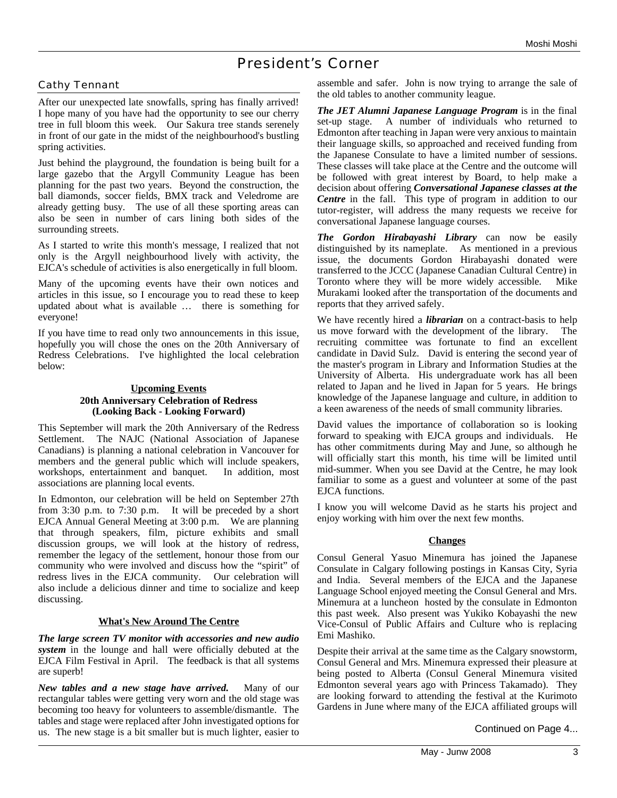# President's Corner

#### Cathy Tennant

After our unexpected late snowfalls, spring has finally arrived! I hope many of you have had the opportunity to see our cherry tree in full bloom this week. Our Sakura tree stands serenely in front of our gate in the midst of the neighbourhood's bustling spring activities.

Just behind the playground, the foundation is being built for a large gazebo that the Argyll Community League has been planning for the past two years. Beyond the construction, the ball diamonds, soccer fields, BMX track and Veledrome are already getting busy. The use of all these sporting areas can also be seen in number of cars lining both sides of the surrounding streets.

As I started to write this month's message, I realized that not only is the Argyll neighbourhood lively with activity, the EJCA's schedule of activities is also energetically in full bloom.

Many of the upcoming events have their own notices and articles in this issue, so I encourage you to read these to keep updated about what is available … there is something for everyone!

If you have time to read only two announcements in this issue, hopefully you will chose the ones on the 20th Anniversary of Redress Celebrations. I've highlighted the local celebration below:

#### **Upcoming Events 20th Anniversary Celebration of Redress (Looking Back - Looking Forward)**

This September will mark the 20th Anniversary of the Redress Settlement. The NAJC (National Association of Japanese Canadians) is planning a national celebration in Vancouver for members and the general public which will include speakers, workshops, entertainment and banquet. In addition, most associations are planning local events.

In Edmonton, our celebration will be held on September 27th from 3:30 p.m. to 7:30 p.m. It will be preceded by a short EJCA Annual General Meeting at 3:00 p.m. We are planning that through speakers, film, picture exhibits and small discussion groups, we will look at the history of redress, remember the legacy of the settlement, honour those from our community who were involved and discuss how the "spirit" of redress lives in the EJCA community. Our celebration will also include a delicious dinner and time to socialize and keep discussing.

#### **What's New Around The Centre**

*The large screen TV monitor with accessories and new audio system* in the lounge and hall were officially debuted at the EJCA Film Festival in April. The feedback is that all systems are superb!

*New tables and a new stage have arrived.* Many of our rectangular tables were getting very worn and the old stage was becoming too heavy for volunteers to assemble/dismantle. The tables and stage were replaced after John investigated options for us. The new stage is a bit smaller but is much lighter, easier to

assemble and safer. John is now trying to arrange the sale of the old tables to another community league.

*The JET Alumni Japanese Language Program* is in the final set-up stage. A number of individuals who returned to Edmonton after teaching in Japan were very anxious to maintain their language skills, so approached and received funding from the Japanese Consulate to have a limited number of sessions. These classes will take place at the Centre and the outcome will be followed with great interest by Board, to help make a decision about offering *Conversational Japanese classes at the Centre* in the fall. This type of program in addition to our tutor-register, will address the many requests we receive for conversational Japanese language courses.

*The Gordon Hirabayashi Library* can now be easily distinguished by its nameplate. As mentioned in a previous issue, the documents Gordon Hirabayashi donated were transferred to the JCCC (Japanese Canadian Cultural Centre) in Toronto where they will be more widely accessible. Mike Murakami looked after the transportation of the documents and reports that they arrived safely.

We have recently hired a *librarian* on a contract-basis to help us move forward with the development of the library. The recruiting committee was fortunate to find an excellent candidate in David Sulz. David is entering the second year of the master's program in Library and Information Studies at the University of Alberta. His undergraduate work has all been related to Japan and he lived in Japan for 5 years. He brings knowledge of the Japanese language and culture, in addition to a keen awareness of the needs of small community libraries.

David values the importance of collaboration so is looking forward to speaking with EJCA groups and individuals. He has other commitments during May and June, so although he will officially start this month, his time will be limited until mid-summer. When you see David at the Centre, he may look familiar to some as a guest and volunteer at some of the past EJCA functions.

I know you will welcome David as he starts his project and enjoy working with him over the next few months.

#### **Changes**

Consul General Yasuo Minemura has joined the Japanese Consulate in Calgary following postings in Kansas City, Syria and India. Several members of the EJCA and the Japanese Language School enjoyed meeting the Consul General and Mrs. Minemura at a luncheon hosted by the consulate in Edmonton this past week. Also present was Yukiko Kobayashi the new Vice-Consul of Public Affairs and Culture who is replacing Emi Mashiko.

Despite their arrival at the same time as the Calgary snowstorm, Consul General and Mrs. Minemura expressed their pleasure at being posted to Alberta (Consul General Minemura visited Edmonton several years ago with Princess Takamado). They are looking forward to attending the festival at the Kurimoto Gardens in June where many of the EJCA affiliated groups will

Continued on Page 4...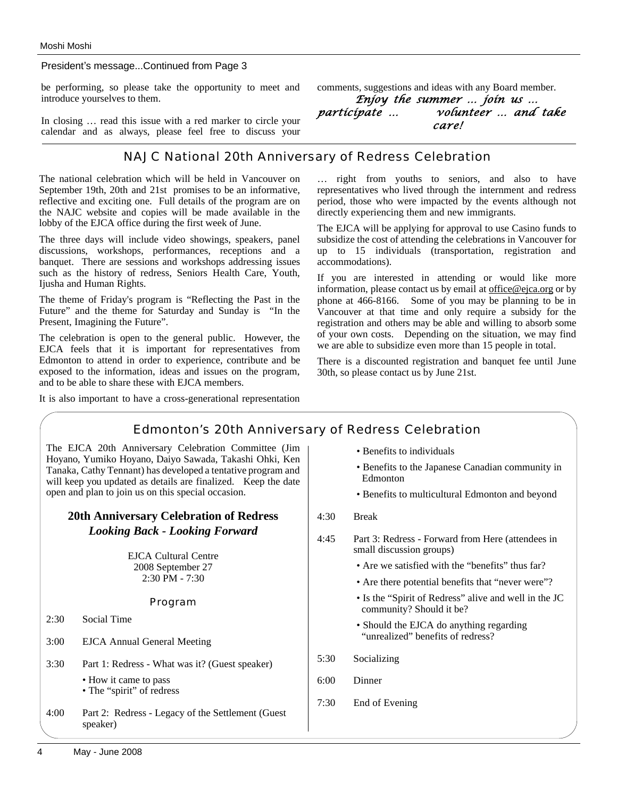President's message...Continued from Page 3

be performing, so please take the opportunity to meet and introduce yourselves to them.

In closing … read this issue with a red marker to circle your calendar and as always, please feel free to discuss your

# NAJC National 20th Anniversary of Redress Celebration

The national celebration which will be held in Vancouver on September 19th, 20th and 21st promises to be an informative, reflective and exciting one. Full details of the program are on the NAJC website and copies will be made available in the lobby of the EJCA office during the first week of June.

The three days will include video showings, speakers, panel discussions, workshops, performances, receptions and a banquet. There are sessions and workshops addressing issues such as the history of redress, Seniors Health Care, Youth, Ijusha and Human Rights.

The theme of Friday's program is "Reflecting the Past in the Future" and the theme for Saturday and Sunday is "In the Present, Imagining the Future".

The celebration is open to the general public. However, the EJCA feels that it is important for representatives from Edmonton to attend in order to experience, contribute and be exposed to the information, ideas and issues on the program, and to be able to share these with EJCA members.

It is also important to have a cross-generational representation

comments, suggestions and ideas with any Board member.

*Enjoy the summer … join us … participate … volunteer … and take care!*

… right from youths to seniors, and also to have representatives who lived through the internment and redress period, those who were impacted by the events although not directly experiencing them and new immigrants.

The EJCA will be applying for approval to use Casino funds to subsidize the cost of attending the celebrations in Vancouver for up to 15 individuals (transportation, registration and accommodations).

If you are interested in attending or would like more information, please contact us by email at office@ejca.org or by phone at 466-8166. Some of you may be planning to be in Vancouver at that time and only require a subsidy for the registration and others may be able and willing to absorb some of your own costs. Depending on the situation, we may find we are able to subsidize even more than 15 people in total.

There is a discounted registration and banquet fee until June 30th, so please contact us by June 21st.

## Edmonton's 20th Anniversary of Redress Celebration

The EJCA 20th Anniversary Celebration Committee (Jim Hoyano, Yumiko Hoyano, Daiyo Sawada, Takashi Ohki, Ken Tanaka, Cathy Tennant) has developed a tentative program and will keep you updated as details are finalized. Keep the date open and plan to join us on this special occasion.

#### **20th Anniversary Celebration of Redress** *Looking Back - Looking Forward*

EJCA Cultural Centre 2008 September 27 2:30 PM - 7:30

#### Program

- 2:30 Social Time
- 3:00 EJCA Annual General Meeting
- 3:30 Part 1: Redress What was it? (Guest speaker)
	- How it came to pass
	- The "spirit" of redress
- 4:00 Part 2: Redress Legacy of the Settlement (Guest speaker)
- Benefits to individuals
- Benefits to the Japanese Canadian community in Edmonton
- Benefits to multicultural Edmonton and beyond
- 4:30 Break
- 4:45 Part 3: Redress Forward from Here (attendees in small discussion groups)
	- Are we satisfied with the "benefits" thus far?
	- Are there potential benefits that "never were"?
	- Is the "Spirit of Redress" alive and well in the JC community? Should it be?
	- Should the EJCA do anything regarding "unrealized" benefits of redress?
- 5:30 Socializing
- 6:00 Dinner
- 7:30 End of Evening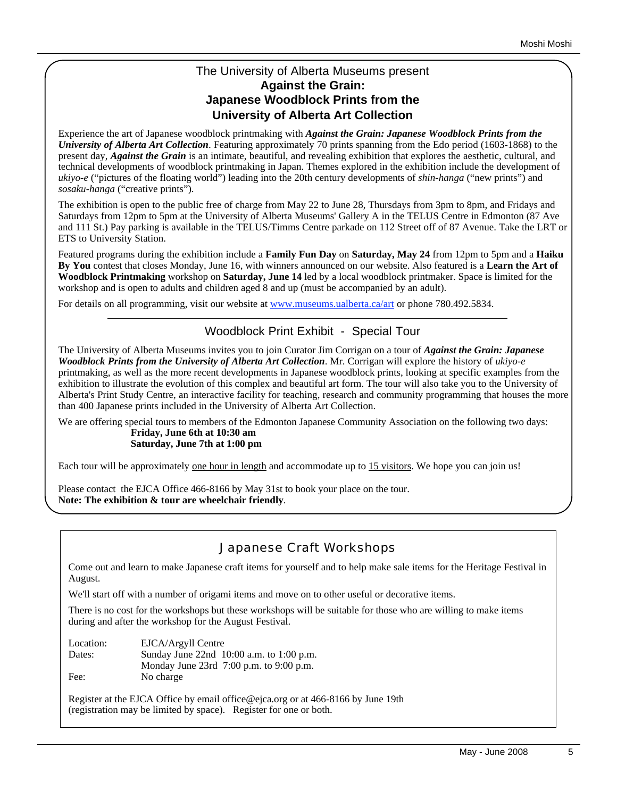## The University of Alberta Museums present **Against the Grain: Japanese Woodblock Prints from the University of Alberta Art Collection**

Experience the art of Japanese woodblock printmaking with *Against the Grain: Japanese Woodblock Prints from the University of Alberta Art Collection*. Featuring approximately 70 prints spanning from the Edo period (1603-1868) to the present day, *Against the Grain* is an intimate, beautiful, and revealing exhibition that explores the aesthetic, cultural, and technical developments of woodblock printmaking in Japan. Themes explored in the exhibition include the development of *ukiyo-e* ("pictures of the floating world") leading into the 20th century developments of *shin-hanga* ("new prints") and *sosaku-hanga* ("creative prints").

The exhibition is open to the public free of charge from May 22 to June 28, Thursdays from 3pm to 8pm, and Fridays and Saturdays from 12pm to 5pm at the University of Alberta Museums' Gallery A in the TELUS Centre in Edmonton (87 Ave and 111 St.) Pay parking is available in the TELUS/Timms Centre parkade on 112 Street off of 87 Avenue. Take the LRT or ETS to University Station.

Featured programs during the exhibition include a **Family Fun Day** on **Saturday, May 24** from 12pm to 5pm and a **Haiku By You** contest that closes Monday, June 16, with winners announced on our website. Also featured is a **Learn the Art of Woodblock Printmaking** workshop on **Saturday, June 14** led by a local woodblock printmaker. Space is limited for the workshop and is open to adults and children aged 8 and up (must be accompanied by an adult).

For details on all programming, visit our website at www.museums.ualberta.ca/art or phone 780.492.5834.

# Woodblock Print Exhibit - Special Tour

The University of Alberta Museums invites you to join Curator Jim Corrigan on a tour of *Against the Grain: Japanese Woodblock Prints from the University of Alberta Art Collection*. Mr. Corrigan will explore the history of *ukiyo-e* printmaking, as well as the more recent developments in Japanese woodblock prints, looking at specific examples from the exhibition to illustrate the evolution of this complex and beautiful art form. The tour will also take you to the University of Alberta's Print Study Centre, an interactive facility for teaching, research and community programming that houses the more than 400 Japanese prints included in the University of Alberta Art Collection.

We are offering special tours to members of the Edmonton Japanese Community Association on the following two days: **Friday, June 6th at 10:30 am Saturday, June 7th at 1:00 pm**

Each tour will be approximately <u>one hour in length</u> and accommodate up to 15 visitors. We hope you can join us!

Please contact the EJCA Office 466-8166 by May 31st to book your place on the tour. **Note: The exhibition & tour are wheelchair friendly**.

# Japanese Craft Workshops

Come out and learn to make Japanese craft items for yourself and to help make sale items for the Heritage Festival in August.

We'll start off with a number of origami items and move on to other useful or decorative items.

There is no cost for the workshops but these workshops will be suitable for those who are willing to make items during and after the workshop for the August Festival.

Location: EJCA/Argyll Centre Dates: Sunday June 22nd 10:00 a.m. to 1:00 p.m. Monday June 23rd 7:00 p.m. to 9:00 p.m. Fee: No charge

Register at the EJCA Office by email office@ejca.org or at 466-8166 by June 19th (registration may be limited by space). Register for one or both.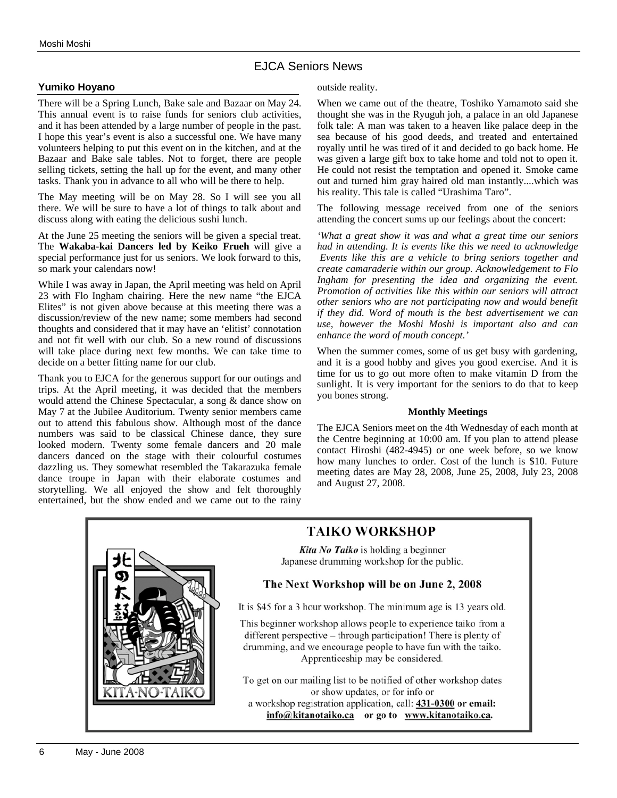## EJCA Seniors News

#### **Yumiko Hoyano**

There will be a Spring Lunch, Bake sale and Bazaar on May 24. This annual event is to raise funds for seniors club activities, and it has been attended by a large number of people in the past. I hope this year's event is also a successful one. We have many volunteers helping to put this event on in the kitchen, and at the Bazaar and Bake sale tables. Not to forget, there are people selling tickets, setting the hall up for the event, and many other tasks. Thank you in advance to all who will be there to help.

The May meeting will be on May 28. So I will see you all there. We will be sure to have a lot of things to talk about and discuss along with eating the delicious sushi lunch.

At the June 25 meeting the seniors will be given a special treat. The **Wakaba-kai Dancers led by Keiko Frueh** will give a special performance just for us seniors. We look forward to this, so mark your calendars now!

While I was away in Japan, the April meeting was held on April 23 with Flo Ingham chairing. Here the new name "the EJCA Elites" is not given above because at this meeting there was a discussion/review of the new name; some members had second thoughts and considered that it may have an 'elitist' connotation and not fit well with our club. So a new round of discussions will take place during next few months. We can take time to decide on a better fitting name for our club.

Thank you to EJCA for the generous support for our outings and trips. At the April meeting, it was decided that the members would attend the Chinese Spectacular, a song & dance show on May 7 at the Jubilee Auditorium. Twenty senior members came out to attend this fabulous show. Although most of the dance numbers was said to be classical Chinese dance, they sure looked modern. Twenty some female dancers and 20 male dancers danced on the stage with their colourful costumes dazzling us. They somewhat resembled the Takarazuka female dance troupe in Japan with their elaborate costumes and storytelling. We all enjoyed the show and felt thoroughly entertained, but the show ended and we came out to the rainy outside reality.

When we came out of the theatre, Toshiko Yamamoto said she thought she was in the Ryuguh joh, a palace in an old Japanese folk tale: A man was taken to a heaven like palace deep in the sea because of his good deeds, and treated and entertained royally until he was tired of it and decided to go back home. He was given a large gift box to take home and told not to open it. He could not resist the temptation and opened it. Smoke came out and turned him gray haired old man instantly....which was his reality. This tale is called "Urashima Taro".

The following message received from one of the seniors attending the concert sums up our feelings about the concert:

*'What a great show it was and what a great time our seniors had in attending. It is events like this we need to acknowledge Events like this are a vehicle to bring seniors together and create camaraderie within our group. Acknowledgement to Flo Ingham for presenting the idea and organizing the event. Promotion of activities like this within our seniors will attract other seniors who are not participating now and would benefit if they did. Word of mouth is the best advertisement we can use, however the Moshi Moshi is important also and can enhance the word of mouth concept.'*

When the summer comes, some of us get busy with gardening, and it is a good hobby and gives you good exercise. And it is time for us to go out more often to make vitamin D from the sunlight. It is very important for the seniors to do that to keep you bones strong.

#### **Monthly Meetings**

The EJCA Seniors meet on the 4th Wednesday of each month at the Centre beginning at 10:00 am. If you plan to attend please contact Hiroshi (482-4945) or one week before, so we know how many lunches to order. Cost of the lunch is \$10. Future meeting dates are May 28, 2008, June 25, 2008, July 23, 2008 and August 27, 2008.



# **TAIKO WORKSHOP**

Kita No Taiko is holding a beginner Japanese drumming workshop for the public.

#### The Next Workshop will be on June 2, 2008

It is \$45 for a 3 hour workshop. The minimum age is 13 years old.

This beginner workshop allows people to experience taiko from a different perspective – through participation! There is plenty of drumming, and we encourage people to have fun with the taiko. Apprenticeship may be considered.

To get on our mailing list to be notified of other workshop dates or show updates, or for info or a workshop registration application, call: 431-0300 or email: info@kitanotaiko.ca or go to www.kitanotaiko.ca.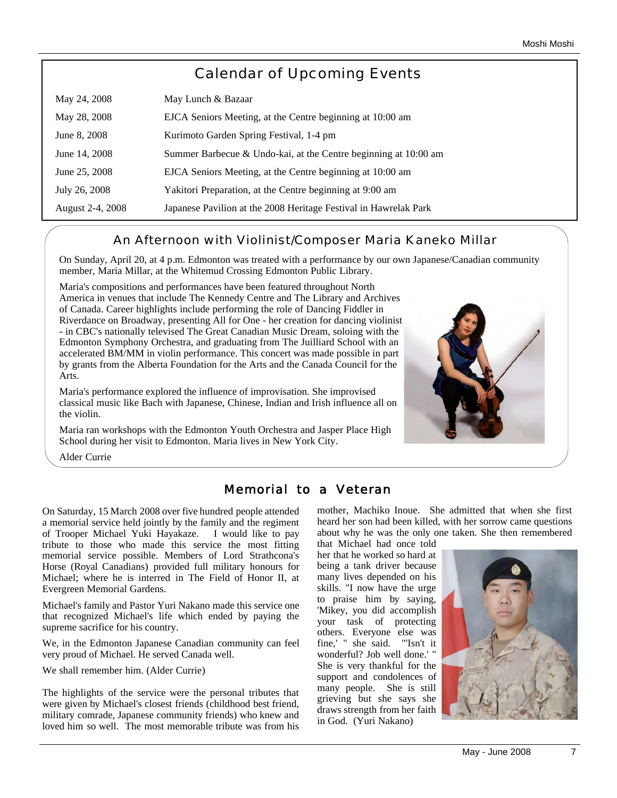# Calendar of Upcoming Events

| May 24, 2008     | May Lunch & Bazaar                                               |
|------------------|------------------------------------------------------------------|
| May 28, 2008     | EJCA Seniors Meeting, at the Centre beginning at 10:00 am        |
| June 8, 2008     | Kurimoto Garden Spring Festival, 1-4 pm                          |
| June 14, 2008    | Summer Barbecue & Undo-kai, at the Centre beginning at 10:00 am  |
| June 25, 2008    | EJCA Seniors Meeting, at the Centre beginning at 10:00 am        |
| July 26, 2008    | Yakitori Preparation, at the Centre beginning at 9:00 am         |
| August 2-4, 2008 | Japanese Pavilion at the 2008 Heritage Festival in Hawrelak Park |

## An Afternoon with Violinist/Composer Maria Kaneko Millar

On Sunday, April 20, at 4 p.m. Edmonton was treated with a performance by our own Japanese/Canadian community member, Maria Millar, at the Whitemud Crossing Edmonton Public Library.

Maria's compositions and performances have been featured throughout North America in venues that include The Kennedy Centre and The Library and Archives of Canada. Career highlights include performing the role of Dancing Fiddler in Riverdance on Broadway, presenting All for One - her creation for dancing violinist - in CBC's nationally televised The Great Canadian Music Dream, soloing with the Edmonton Symphony Orchestra, and graduating from The Juilliard School with an accelerated BM/MM in violin performance. This concert was made possible in part by grants from the Alberta Foundation for the Arts and the Canada Council for the Arts.

Maria's performance explored the influence of improvisation. She improvised classical music like Bach with Japanese, Chinese, Indian and Irish influence all on the violin.

Maria ran workshops with the Edmonton Youth Orchestra and Jasper Place High School during her visit to Edmonton. Maria lives in New York City.



Alder Currie

# Memorial to a Veteran

On Saturday, 15 March 2008 over five hundred people attended a memorial service held jointly by the family and the regiment of Trooper Michael Yuki Hayakaze. I would like to pay tribute to those who made this service the most fitting memorial service possible. Members of Lord Strathcona's Horse (Royal Canadians) provided full military honours for Michael; where he is interred in The Field of Honor II, at Evergreen Memorial Gardens.

Michael's family and Pastor Yuri Nakano made this service one that recognized Michael's life which ended by paying the supreme sacrifice for his country.

We, in the Edmonton Japanese Canadian community can feel very proud of Michael. He served Canada well.

We shall remember him. (Alder Currie)

The highlights of the service were the personal tributes that were given by Michael's closest friends (childhood best friend, military comrade, Japanese community friends) who knew and loved him so well. The most memorable tribute was from his mother, Machiko Inoue. She admitted that when she first heard her son had been killed, with her sorrow came questions about why he was the only one taken. She then remembered that Michael had once told

her that he worked so hard at being a tank driver because many lives depended on his skills. "I now have the urge to praise him by saying, 'Mikey, you did accomplish your task of protecting others. Everyone else was fine,' " she said. "'Isn't it wonderful? Job well done.' " She is very thankful for the support and condolences of many people. She is still grieving but she says she draws strength from her faith in God. (Yuri Nakano)

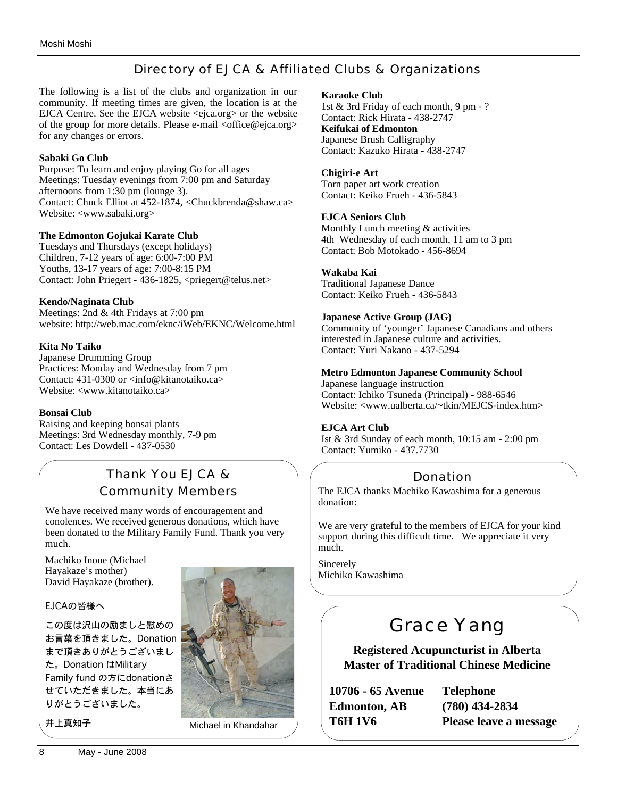# Directory of EJCA & Affiliated Clubs & Organizations

The following is a list of the clubs and organization in our community. If meeting times are given, the location is at the EJCA Centre. See the EJCA website <ejca.org> or the website of the group for more details. Please e-mail <office@ejca.org> for any changes or errors.

#### **Sabaki Go Club**

Purpose: To learn and enjoy playing Go for all ages Meetings: Tuesday evenings from 7:00 pm and Saturday afternoons from 1:30 pm (lounge 3). Contact: Chuck Elliot at 452-1874, <Chuckbrenda@shaw.ca> Website: <www.sabaki.org>

#### **The Edmonton Gojukai Karate Club**

Tuesdays and Thursdays (except holidays) Children, 7-12 years of age: 6:00-7:00 PM Youths, 13-17 years of age: 7:00-8:15 PM Contact: John Priegert - 436-1825, <priegert@telus.net>

#### **Kendo/Naginata Club**

Meetings: 2nd & 4th Fridays at 7:00 pm website: http://web.mac.com/eknc/iWeb/EKNC/Welcome.html

#### **Kita No Taiko**

Japanese Drumming Group Practices: Monday and Wednesday from 7 pm Contact: 431-0300 or <info@kitanotaiko.ca> Website: <www.kitanotaiko.ca>

#### **Bonsai Club**

Raising and keeping bonsai plants Meetings: 3rd Wednesday monthly, 7-9 pm Contact: Les Dowdell - 437-0530

# Thank You EJCA & Community Members

We have received many words of encouragement and conolences. We received generous donations, which have been donated to the Military Family Fund. Thank you very much.

Machiko Inoue (Michael Hayakaze's mother) David Hayakaze (brother).

#### EJCAの皆様へ

この度は沢山の励ましと慰めの お言葉を頂きました。Donation まで頂きありがとうございまし た。Donation はMilitary Family fund の方にdonationさ せていただきました。本当にあ りがとうございました。



井上真知子 Michael in Khandahar

#### **Karaoke Club**

1st & 3rd Friday of each month, 9 pm - ? Contact: Rick Hirata - 438-2747 **Keifukai of Edmonton** Japanese Brush Calligraphy Contact: Kazuko Hirata - 438-2747

#### **Chigiri-e Art**

Torn paper art work creation Contact: Keiko Frueh - 436-5843

#### **EJCA Seniors Club**

Monthly Lunch meeting & activities 4th Wednesday of each month, 11 am to 3 pm Contact: Bob Motokado - 456-8694

#### **Wakaba Kai**

Traditional Japanese Dance Contact: Keiko Frueh - 436-5843

#### **Japanese Active Group (JAG)**

Community of 'younger' Japanese Canadians and others interested in Japanese culture and activities. Contact: Yuri Nakano - 437-5294

#### **Metro Edmonton Japanese Community School**

Japanese language instruction Contact: Ichiko Tsuneda (Principal) - 988-6546 Website: <www.ualberta.ca/~tkin/MEJCS-index.htm>

#### **EJCA Art Club**

Ist & 3rd Sunday of each month, 10:15 am - 2:00 pm Contact: Yumiko - 437.7730

# Donation

The EJCA thanks Machiko Kawashima for a generous donation:

We are very grateful to the members of EJCA for your kind support during this difficult time. We appreciate it very much.

Sincerely Michiko Kawashima

# Grace Yang

**Registered Acupuncturist in Alberta Master of Traditional Chinese Medicine**

**10706 - 65 Avenue Edmonton, AB T6H 1V6**

**Telephone (780) 434-2834 Please leave a message**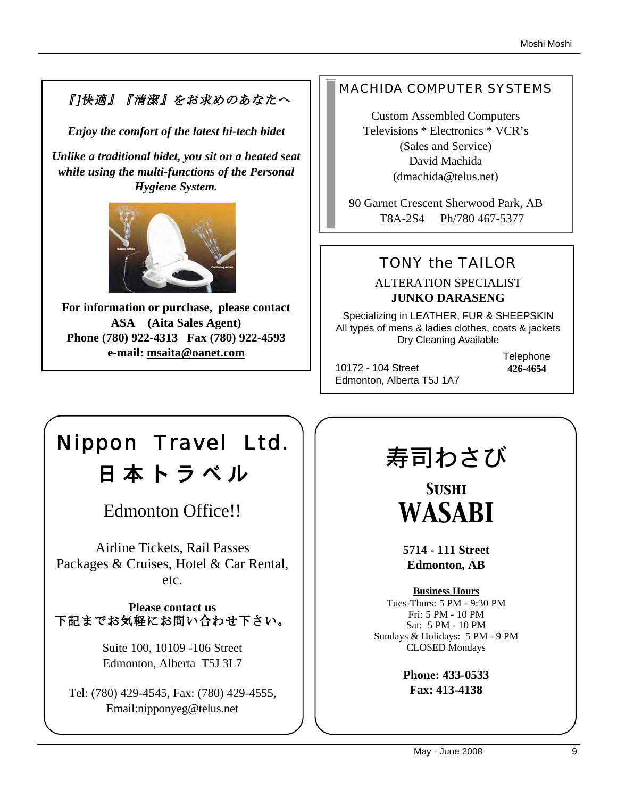# 『]快適』『清潔』をお求めのあなたへ

*Enjoy the comfort of the latest hi-tech bidet*

*Unlike a traditional bidet, you sit on a heated seat while using the multi-functions of the Personal Hygiene System.* 



**For information or purchase, please contact ASA (Aita Sales Agent) Phone (780) 922-4313 Fax (780) 922-4593 e-mail: msaita@oanet.com**

# MACHIDA COMPUTER SYSTEMS

Custom Assembled Computers Televisions \* Electronics \* VCR's (Sales and Service) David Machida (dmachida@telus.net)

90 Garnet Crescent Sherwood Park, AB T8A-2S4 Ph/780 467-5377

# TONY the TAILOR

ALTERATION SPECIALIST **JUNKO DARASENG**

Specializing in LEATHER, FUR & SHEEPSKIN All types of mens & ladies clothes, coats & jackets Dry Cleaning Available

10172 - 104 Street Edmonton, Alberta T5J 1A7 **Telephone 426-4654**

# Nippon Travel Ltd. 日 本 ト ラ ベ ル

Edmonton Office!!

Airline Tickets, Rail Passes Packages & Cruises, Hotel & Car Rental, etc.

**Please contact us** 下記までお気軽にお問い合わせ下さい。

> Suite 100, 10109 -106 Street Edmonton, Alberta T5J 3L7

Tel: (780) 429-4545, Fax: (780) 429-4555, Email:nipponyeg@telus.net

# 寿司わさび

*Sushi WASABI*

**5714 - 111 Street Edmonton, AB**

**Business Hours** Tues-Thurs: 5 PM - 9:30 PM Fri: 5 PM - 10 PM Sat: 5 PM - 10 PM Sundays & Holidays: 5 PM - 9 PM CLOSED Mondays

> **Phone: 433-0533 Fax: 413-4138**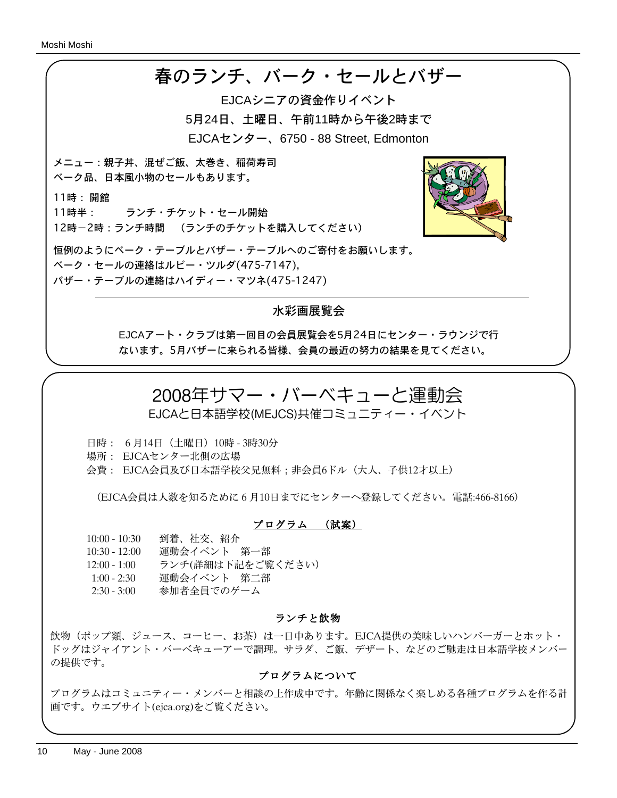

## 水彩画展覧会

EJCAアート・クラブは第一回目の会員展覧会を5月24日にセンター・ラウンジで行 ないます。5月バザーに来られる皆様、会員の最近の努力の結果を見てください。

# 2008年サマー・バーベキューと運動会

EJCAと日本語学校(MEJCS)共催コミュニティー・イベント

日時: 6月14日(土曜日)10時 - 3時30分

場所: EJCAセンター北側の広場

会費: EJCA会員及び日本語学校父兄無料;非会員6ドル(大人、子供12才以上)

(EJCA会員は人数を知るために6月10日までにセンターへ登録してください。電話:466-8166)

#### プログラム (試案)

10:00 - 10:30 到着、社交、紹介

10:30 - 12:00 運動会イベント 第一部

12:00 - 1:00 ランチ(詳細は下記をご覧ください)

1:00 - 2:30 運動会イベント 第二部

2:30 - 3:00 参加者全員でのゲーム

#### ランチと飲物

飲物(ポップ類、ジュース、コーヒー、お茶)は一日中あります。EJCA提供の美味しいハンバーガーとホット・ ドッグはジャイアント・バーベキューアーで調理。サラダ、ご飯、デザート、などのご馳走は日本語学校メンバー の提供です。

#### プログラムについて

プログラムはコミュニティー・メンバーと相談の上作成中です。年齢に関係なく楽しめる各種プログラムを作る計 画です。ウエブサイト(ejca.org)をご覧ください。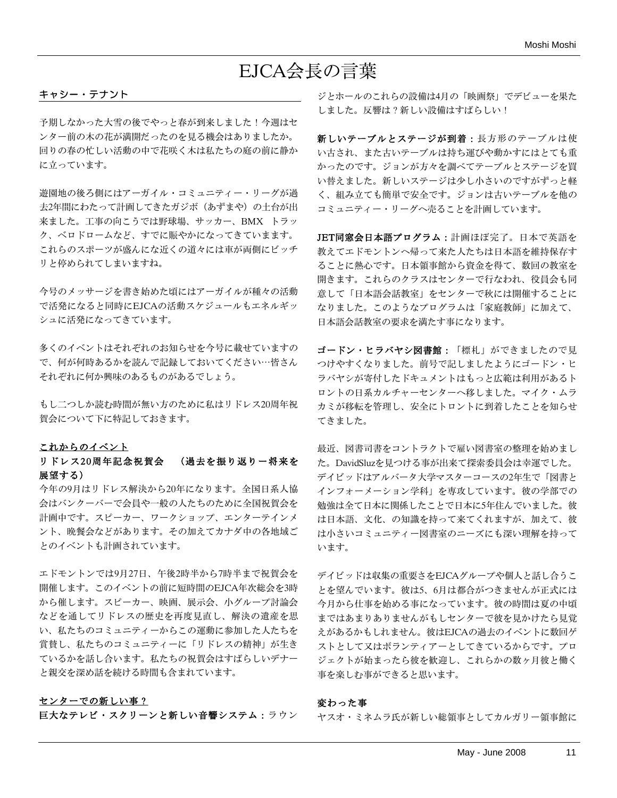# EJCA会長の言葉

#### キャシー・テナント

予期しなかった大雪の後でやっと春が到来しました!今週はセ ンター前の木の花が満開だったのを見る機会はありましたか。 回りの春の忙しい活動の中で花咲く木は私たちの庭の前に静か に立っています。

遊園地の後ろ側にはアーガイル・コミュニティー・リーグが過 去2年間にわたって計画してきたガジボ(あずまや)の土台が出 来ました。工事の向こうでは野球場、サッカー、BMX トラッ ク、ベロドロームなど、すでに賑やかになってきていまます。 これらのスポーツが盛んにな近くの道々には車が両側にビッチ リと停められてしまいますね。

今号のメッサージを書き始めた頃にはアーガイルが種々の活動 で活発になると同時にEJCAの活動スケジュールもエネルギッ シュに活発になってきています。

多くのイベントはそれぞれのお知らせを今号に載せていますの で、何が何時あるかを読んで記録しておいてください⋯皆さん それぞれに何か興味のあるものがあるでしょう。

もし二つしか読む時間が無い方のために私はリドレス20周年祝 賀会について下に特記しておきます。

#### これからのイベント

#### リドレス20周年記念祝賀会 (過去を振り返りー将来を 展望する)

今年の9月はリドレス解決から20年になります。全国日系人協 会はバンクーバーで会員や一般の人たちのために全国祝賀会を 計画中です。スピーカー、ワークショップ、エンターテインメ ント、晩餐会などがあります。その加えてカナダ中の各地域ご とのイベントも計画されています。

エドモントンでは9月27日、午後2時半から7時半まで祝賀会を 開催します。このイベントの前に短時間のEJCA年次総会を3時 から催します。スピーカー、映画、展示会、小グループ討論会 などを通してリドレスの歴史を再度見直し、解決の遺産を思 い、私たちのコミュニティーからこの運動に参加した人たちを 賞賛し、私たちのコミュニティーに「リドレスの精神」が生き ているかを話し合います。私たちの祝賀会はすばらしいデナー と親交を深め話を続ける時間も含まれています。

#### センターでの新しい事?

巨大なテレビ・スクリーンと新しい音響システム:ラウン

ジとホールのこれらの設備は4月の「映画祭」でデビューを果た しました。反響は?新しい設備はすばらしい!

新しいテーブルとステージが到着:長方形のテーブルは使 い古され、また古いテーブルは持ち運びや動かすにはとても重 かったのです。ジョンが方々を調べてテーブルとステージを買 い替えました。新しいステージは少し小さいのですがずっと軽 く、組み立ても簡単で安全です。ジョンは古いテーブルを他の コミュニティー・リーグへ売ることを計画しています。

JET同窓会日本語プログラム:計画ほぼ完了。日本で英語を 教えてエドモントンへ帰って来た人たちは日本語を維持保存す ることに熱心です。日本領事館から資金を得て、数回の教室を 開きます。これらのクラスはセンターで行なわれ、役員会も同 意して「日本語会話教室」をセンターで秋には開催することに なりました。このようなプログラムは「家庭教師」に加えて、 日本語会話教室の要求を満たす事になります。

ゴードン・ヒラバヤシ図書館:「標札」ができましたので見 つけやすくなりました。前号で記しましたようにゴードン・ヒ ラバヤシが寄付したドキュメントはもっと広範は利用があるト ロントの日系カルチャーセンターへ移しました。マイク・ムラ カミが移転を管理し、安全にトロントに到着したことを知らせ てきました。

最近、図書司書をコントラクトで雇い図書室の整理を始めまし た。DavidSluzを見つける事が出来て探索委員会は幸運でした。 デイビッドはアルバータ大学マスターコースの2年生で「図書と インフォーメーション学科」を専攻しています。彼の学部での 勉強は全て日本に関係したことで日本に5年住んでいました。彼 は日本語、文化、の知識を持って来てくれますが、加えて、彼 は小さいコミュニティー図書室のニーズにも深い理解を持って います。

デイビッドは収集の重要さをEJCAグループや個人と話し合うこ とを望んでいます。彼は5、6月は都合がつきませんが正式には 今月から仕事を始める事になっています。彼の時間は夏の中頃 まではあまりありませんがもしセンターで彼を見かけたら見覚 えがあるかもしれません。彼はEJCAの過去のイベントに数回ゲ ストとして又はボランティアーとしてきているからです。プロ ジェクトが始まったら彼を歓迎し、これらかの数ヶ月彼と働く 事を楽しむ事ができると思います。

#### 変わった事

ヤスオ・ミネムラ氏が新しい総領事としてカルガリー領事館に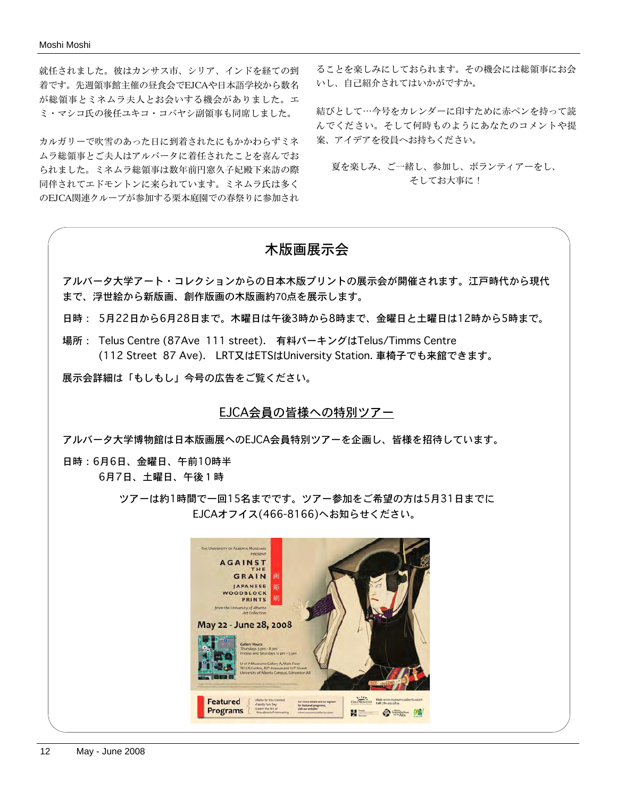就任されました。彼はカンサス市、シリア、インドを経ての到 着です。先週領事館主催の昼食会でEJCAや日本語学校から数名 が総領事とミネムラ夫人とお会いする機会がありました。エ ミ・マシコ氏の後任ユキコ・コバヤシ副領事も同席しました。

カルガリーで吹雪のあった日に到着されたにもかかわらずミネ ムラ総領事とご夫人はアルバータに着任されたことを喜んでお られました。ミネムラ総領事は数年前円窓久子妃殿下来訪の際 同伴されてエドモントンに来られています。ミネムラ氏は多く のEJCA関連クループが参加する栗本庭園での春祭りに参加され

ることを楽しみにしておられます。その機会には総領事にお会 いし、自己紹介されてはいかがですか。

結びとして⋯今号をカレンダーに印すために赤ペンを持って読 んでください。そして何時ものようにあなたのコメントや提 案、アイデアを役員へお持ちください。

夏を楽しみ、ご一緒し、参加し、ボランティアーをし、 そしてお大事に!

# 木版画展示会

アルバータ大学アート・コレクションからの日本木版プリントの展示会が開催されます。江戸時代から現代 まで、浮世絵から新版画、創作版画の木版画約70点を展示します。

日時: 5月22日から6月28日まで。木曜日は午後3時から8時まで、金曜日と土曜日は12時から5時まで。

場所: Telus Centre (87Ave 111 street). 有料パーキングはTelus/Timms Centre (112 Street 87 Ave). LRT又はETSはUniversity Station. 車椅子でも来館できます。

展示会詳細は「もしもし」今号の広告をご覧ください。

#### EJCA会員の皆様への特別ツアー

アルバータ大学博物館は日本版画展へのEJCA会員特別ツアーを企画し、皆様を招待しています。

日時:6月6日、金曜日、午前10時半 6月7日、土曜日、午後1時

> ツアーは約1時間で一回15名までです。ツアー参加をご希望の方は5月31日までに EJCAオフイス(466-8166)へお知らせください。

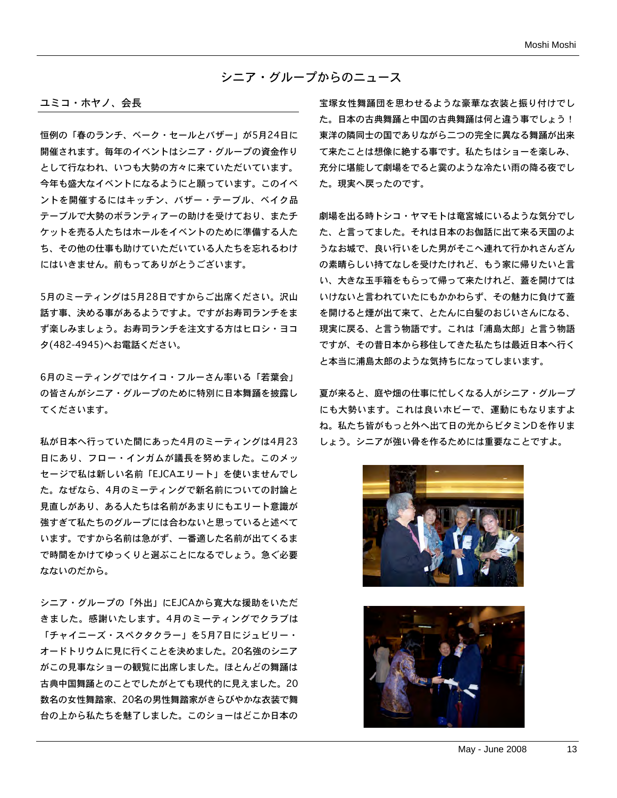#### シニア・グループからのニュース

#### ユミコ・ホヤノ、会長

恒例の「春のランチ、ベーク・セールとバザー」が5月24日に 開催されます。毎年のイベントはシニア・グループの資金作り として行なわれ、いつも大勢の方々に来ていただいています。 今年も盛大なイベントになるようにと願っています。このイベ ントを開催するにはキッチン、バザー・テーブル、ベイク品 テーブルで大勢のボランティアーの助けを受けており、またチ ケットを売る人たちはホールをイベントのために準備する人た ち、その他の仕事も助けていただいている人たちを忘れるわけ にはいきません。前もってありがとうございます。

5月のミーティングは5月28日ですからご出席ください。沢山 話す事、決める事があるようですよ。ですがお寿司ランチをま ず楽しみましょう。お寿司ランチを注文する方はヒロシ・ヨコ タ(482-4945)へお電話ください。

6月のミーティングではケイコ・フルーさん率いる「若葉会」 の皆さんがシニア・グループのために特別に日本舞踊を披露し てくださいます。

私が日本へ行っていた間にあった4月のミーティングは4月23 日にあり、フロー・インガムが議長を努めました。このメッ セージで私は新しい名前「EJCAエリート」を使いませんでし た。なぜなら、4月のミーティングで新名前についての討論と 見直しがあり、ある人たちは名前があまりにもエリート意識が 強すぎて私たちのグループには合わないと思っていると述べて います。ですから名前は急がず、一番適した名前が出てくるま で時間をかけてゆっくりと選ぶことになるでしょう。急ぐ必要 なないのだから。

シニア・グループの「外出」にEJCAから寛大な援助をいただ きました。感謝いたします。4月のミーティングでクラブは 「チャイニーズ・スペクタクラー」を5月7日にジュビリー・ オードトリウムに見に行くことを決めました。20名強のシニア がこの見事なショーの観覧に出席しました。ほとんどの舞踊は 古典中国舞踊とのことでしたがとても現代的に見えました。20 数名の女性舞踏家、20名の男性舞踏家がきらびやかな衣装で舞 台の上から私たちを魅了しました。このショーはどこか日本の

宝塚女性舞踊団を思わせるような豪華な衣装と振り付けでし た。日本の古典舞踊と中国の古典舞踊は何と違う事でしょう! 東洋の隣同士の国でありながら二つの完全に異なる舞踊が出来 て来たことは想像に絶する事です。私たちはショーを楽しみ、 充分に堪能して劇場をでると霙のような冷たい雨の降る夜でし た。現実へ戻ったのです。

劇場を出る時トシコ・ヤマモトは竜宮城にいるような気分でし た、と言ってました。それは日本のお伽話に出て来る天国のよ うなお城で、良い行いをした男がそこへ連れて行かれさんざん の素晴らしい持てなしを受けたけれど、もう家に帰りたいと言 い、大きな玉手箱をもらって帰って来たけれど、蓋を開けては いけないと言われていたにもかかわらず、その魅力に負けて蓋 を開けると煙が出て来て、とたんに白髪のおじいさんになる、 現実に戻る、と言う物語です。これは「浦島太郎」と言う物語 ですが、その昔日本から移住してきた私たちは最近日本へ行く と本当に浦島太郎のような気持ちになってしまいます。

夏が来ると、庭や畑の仕事に忙しくなる人がシニア・グループ にも大勢います。これは良いホビーで、運動にもなりますよ ね。私たち皆がもっと外へ出て日の光からビタミンD を作りま しょう。シニアが強い骨を作るためには重要なことですよ。



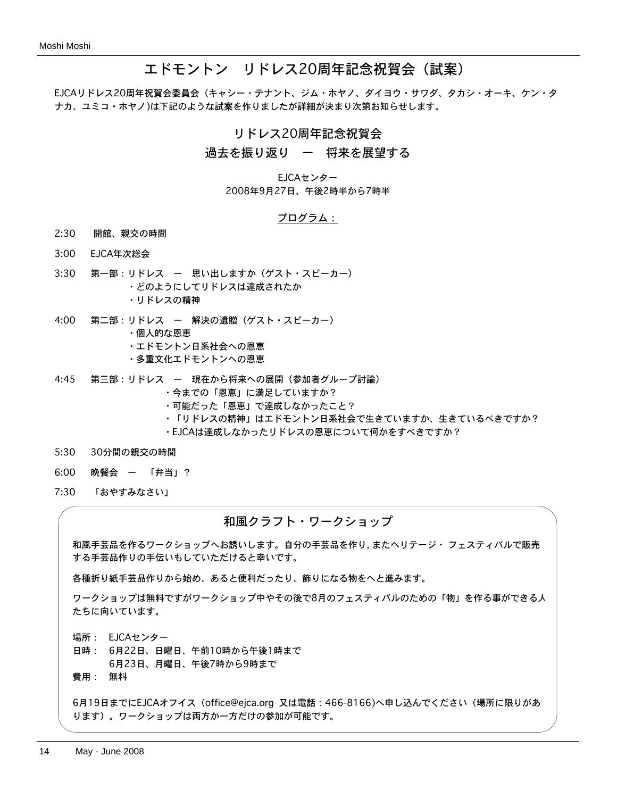# エドモントン リドレス20周年記念祝賀会(試案)

EJCAリドレス20周年祝賀会委員会(キャシー・テナント、ジム・ホヤノ、ダイヨウ・サワダ、タカシ・オーキ、ケン・タ ナカ、ユミコ・ホヤノ)は下記のような試案を作りましたが詳細が決まり次第お知らせします。

#### リドレス20周年記念祝賀会

#### 過去を振り返り ー 将来を展望する

EJCAセンター 2008年9月27日、午後2時半から7時半

#### プログラム:

- 2:30 開館、親交の時間
- 3:00 EJCA年次総会
- 3:30 第一部:リドレス ー 思い出しますか(ゲスト・スピーカー) ・どのようにしてリドレスは達成されたか ・リドレスの精神
- 4:00 第二部:リドレス ー 解決の遺贈(ゲスト・スピーカー)
	- ・個人的な恩恵
		- ・エドモントン日系社会への恩恵
		- ・多重文化エドモントンへの恩恵
- 4:45 第三部:リドレス ー 現在から将来への展開(参加者グループ討論)
	- ・今までの「恩恵」に満足していますか?
	- ・可能だった「恩恵」で達成しなかったこと?
	- ・「リドレスの精神」はエドモントン日系社会で生きていますか、生きているべきですか?
	- ・EJCAは達成しなかったリドレスの恩恵について何かをすべきですか?
- 5:30 30分間の親交の時間
- 6:00 晩餐会 ー 「弁当」?
- 7:30 「おやすみなさい」

#### 和風クラフト・ワークショップ

和風手芸品を作るワークショップへお誘いします。自分の手芸品を作り, またヘリテージ・ フェスティバルで販売 する手芸品作りの手伝いもしていただけると幸いです。

各種折り紙手芸品作りから始め、あると便利だったり、飾りになる物をへと進みます。

ワークショップは無料ですがワークショップ中やその後で8月のフェスティバルのための「物」を作る事ができる人 たちに向いています。

場所: EJCAセンター

日時: 6月22日、日曜日、午前10時から午後1時まで

6月23日、月曜日、午後7時から9時まで

費用: 無料

6月19日までにEJCAオフイス(office@ejca.org 又は電話:466-8166)へ申し込んでください(場所に限りがあ ります)。ワークショップは両方か一方だけの参加が可能です。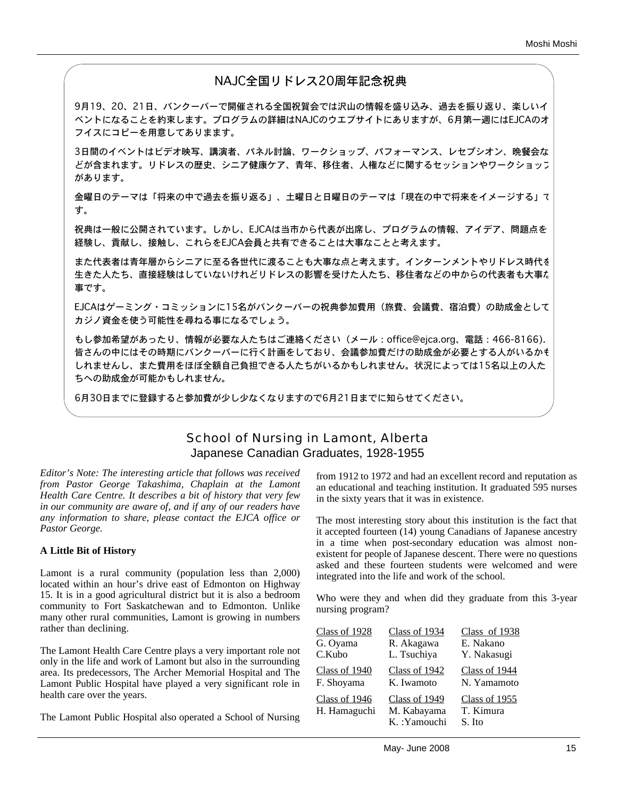# NAJC全国リドレス20周年記念祝典

9月19、20、21日、バンクーバーで開催される全国祝賀会では沢山の情報を盛り込み、過去を振り返り、楽しいイ ベントになることを約束します。プログラムの詳細はNAJCのウエブサイトにありますが、6月第一週にはEJCAのオ フイスにコピーを用意してありまます。

3日間のイベントはビデオ映写、講演者、パネル討論、ワークショップ、パフォーマンス、レセプシオン、晩餐会な どが含まれます。リドレスの歴史、シニア健康ケア、青年、移住者、人権などに関するセッションやワークショップ があります。

金曜日のテーマは「将来の中で過去を振り返る」、土曜日と日曜日のテーマは「現在の中で将来をイメージする」で す。

祝典は一般に公開されています。しかし、EJCAは当市から代表が出席し、プログラムの情報、アイデア、問題点を 経験し、貢献し、接触し、これらをEJCA会員と共有できることは大事なことと考えます。

また代表者は青年層からシニアに至る各世代に渡ることも大事な点と考えます。インターンメントやリドレス時代を 生きた人たち、直接経験はしていないけれどリドレスの影響を受けた人たち、移住者などの中からの代表者も大事な 事です。

EJCAはゲーミング・コミッションに15名がバンクーバーの祝典参加費用(旅費、会議費、宿泊費)の助成金として カジノ資金を使う可能性を尋ねる事になるでしょう。

もし参加希望があったり、情報が必要な人たちはご連絡ください(メール:office@ejca.org、電話:466-8166). 皆さんの中にはその時期にバンクーバーに行く計画をしており、会議参加費だけの助成金が必要とする人がいるかも しれませんし、また費用をほぼ全額自己負担できる人たちがいるかもしれません。状況によっては15名以上の人た ちへの助成金が可能かもしれません。

6月30日までに登録すると参加費が少し少なくなりますので6月21日までに知らせてください。

## School of Nursing in Lamont, Alberta Japanese Canadian Graduates, 1928-1955

*Editor's Note: The interesting article that follows was received from Pastor George Takashima, Chaplain at the Lamont Health Care Centre. It describes a bit of history that very few in our community are aware of, and if any of our readers have any information to share, please contact the EJCA office or Pastor George.*

#### **A Little Bit of History**

Lamont is a rural community (population less than 2,000) located within an hour's drive east of Edmonton on Highway 15. It is in a good agricultural district but it is also a bedroom community to Fort Saskatchewan and to Edmonton. Unlike many other rural communities, Lamont is growing in numbers rather than declining.

The Lamont Health Care Centre plays a very important role not only in the life and work of Lamont but also in the surrounding area. Its predecessors, The Archer Memorial Hospital and The Lamont Public Hospital have played a very significant role in health care over the years.

The Lamont Public Hospital also operated a School of Nursing

from 1912 to 1972 and had an excellent record and reputation as an educational and teaching institution. It graduated 595 nurses in the sixty years that it was in existence.

The most interesting story about this institution is the fact that it accepted fourteen (14) young Canadians of Japanese ancestry in a time when post-secondary education was almost nonexistent for people of Japanese descent. There were no questions asked and these fourteen students were welcomed and were integrated into the life and work of the school.

Who were they and when did they graduate from this 3-year nursing program?

| <b>Class of 1928</b>          | Class of 1934                                | Class of 1938                        |
|-------------------------------|----------------------------------------------|--------------------------------------|
| G. Oyama                      | R. Akagawa                                   | E. Nakano                            |
| C.Kubo                        | L. Tsuchiya                                  | Y. Nakasugi                          |
| Class of 1940                 | Class of 1942                                | Class of 1944                        |
| F. Shoyama                    | K. Iwamoto                                   | N. Yamamoto                          |
| Class of 1946<br>H. Hamaguchi | Class of 1949<br>M. Kabayama<br>K.: Yamouchi | Class of 1955<br>T. Kimura<br>S. Ito |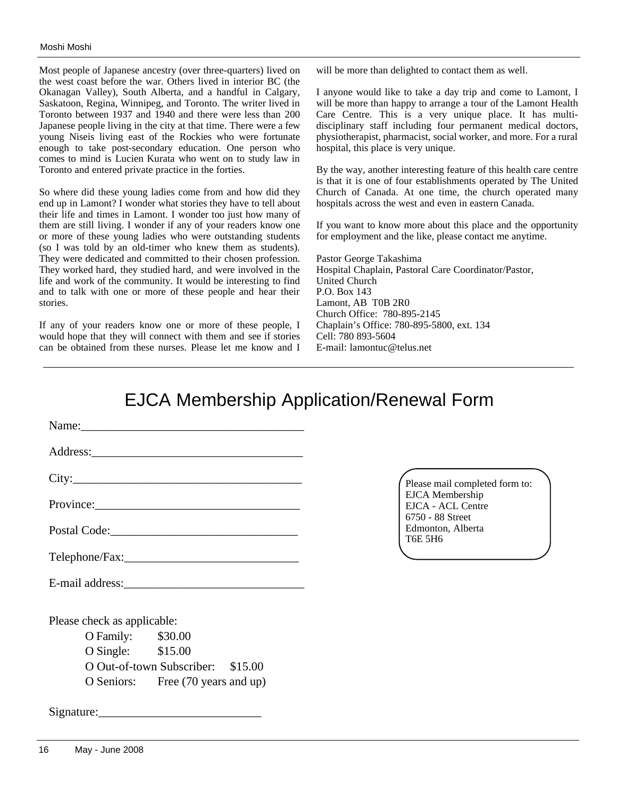Most people of Japanese ancestry (over three-quarters) lived on the west coast before the war. Others lived in interior BC (the Okanagan Valley), South Alberta, and a handful in Calgary, Saskatoon, Regina, Winnipeg, and Toronto. The writer lived in Toronto between 1937 and 1940 and there were less than 200 Japanese people living in the city at that time. There were a few young Niseis living east of the Rockies who were fortunate enough to take post-secondary education. One person who comes to mind is Lucien Kurata who went on to study law in Toronto and entered private practice in the forties.

So where did these young ladies come from and how did they end up in Lamont? I wonder what stories they have to tell about their life and times in Lamont. I wonder too just how many of them are still living. I wonder if any of your readers know one or more of these young ladies who were outstanding students (so I was told by an old-timer who knew them as students). They were dedicated and committed to their chosen profession. They worked hard, they studied hard, and were involved in the life and work of the community. It would be interesting to find and to talk with one or more of these people and hear their stories.

If any of your readers know one or more of these people, I would hope that they will connect with them and see if stories can be obtained from these nurses. Please let me know and I will be more than delighted to contact them as well.

I anyone would like to take a day trip and come to Lamont, I will be more than happy to arrange a tour of the Lamont Health Care Centre. This is a very unique place. It has multidisciplinary staff including four permanent medical doctors, physiotherapist, pharmacist, social worker, and more. For a rural hospital, this place is very unique.

By the way, another interesting feature of this health care centre is that it is one of four establishments operated by The United Church of Canada. At one time, the church operated many hospitals across the west and even in eastern Canada.

If you want to know more about this place and the opportunity for employment and the like, please contact me anytime.

Pastor George Takashima Hospital Chaplain, Pastoral Care Coordinator/Pastor, United Church P.O. Box 143 Lamont, AB T0B 2R0 Church Office: 780-895-2145 Chaplain's Office: 780-895-5800, ext. 134 Cell: 780 893-5604 E-mail: lamontuc@telus.net

# EJCA Membership Application/Renewal Form

| City:                       |                                   |  |
|-----------------------------|-----------------------------------|--|
|                             |                                   |  |
|                             |                                   |  |
|                             |                                   |  |
|                             |                                   |  |
| Please check as applicable: |                                   |  |
| O Family: \$30.00           |                                   |  |
| O Single: \$15.00           |                                   |  |
|                             | O Out-of-town Subscriber: \$15.00 |  |
|                             | O Seniors: Free (70 years and up) |  |
|                             |                                   |  |

Please mail completed form to: EJCA Membership EJCA - ACL Centre 6750 - 88 Street Edmonton, Alberta T6E 5H6